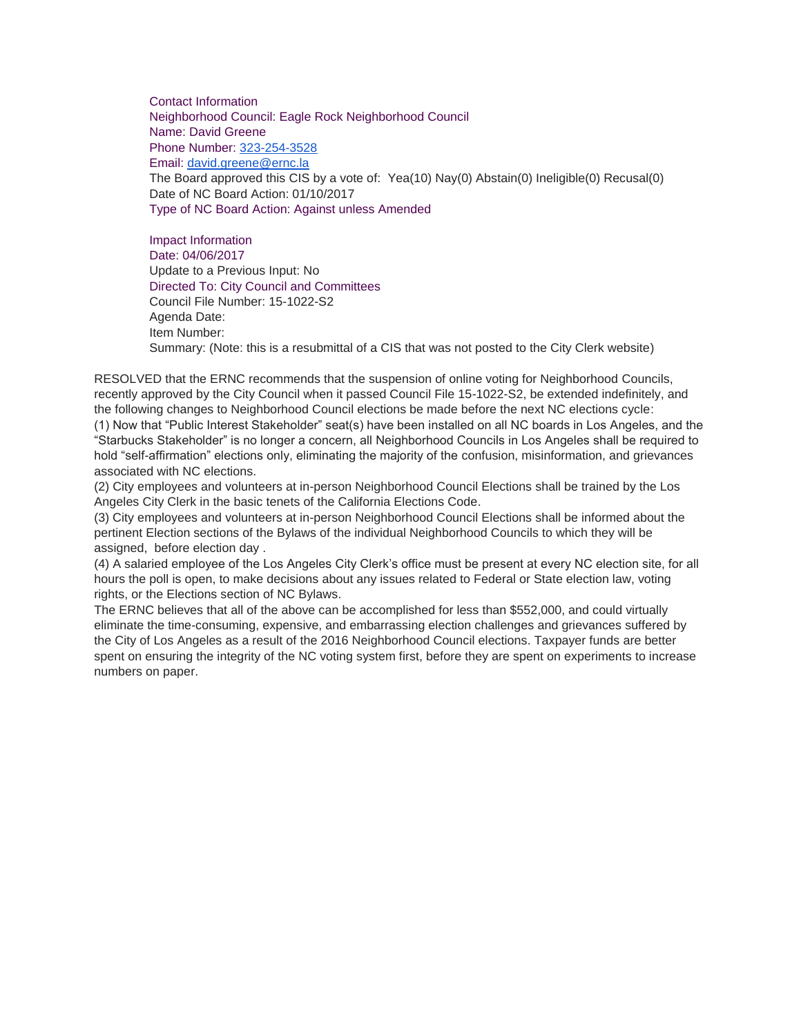Contact Information Neighborhood Council: Eagle Rock Neighborhood Council Name: David Greene Phone Number: [323-254-3528](tel:323-254-3528) Email: [david.greene@ernc.la](mailto:david.greene@ernc.la) The Board approved this CIS by a vote of: Yea(10) Nay(0) Abstain(0) Ineligible(0) Recusal(0) Date of NC Board Action: 01/10/2017 Type of NC Board Action: Against unless Amended

Impact Information Date: 04/06/2017 Update to a Previous Input: No Directed To: City Council and Committees Council File Number: 15-1022-S2 Agenda Date: Item Number: Summary: (Note: this is a resubmittal of a CIS that was not posted to the City Clerk website)

RESOLVED that the ERNC recommends that the suspension of online voting for Neighborhood Councils, recently approved by the City Council when it passed Council File 15-1022-S2, be extended indefinitely, and the following changes to Neighborhood Council elections be made before the next NC elections cycle: (1) Now that "Public Interest Stakeholder" seat(s) have been installed on all NC boards in Los Angeles, and the "Starbucks Stakeholder" is no longer a concern, all Neighborhood Councils in Los Angeles shall be required to hold "self-affirmation" elections only, eliminating the majority of the confusion, misinformation, and grievances associated with NC elections.

(2) City employees and volunteers at in-person Neighborhood Council Elections shall be trained by the Los Angeles City Clerk in the basic tenets of the California Elections Code.

(3) City employees and volunteers at in-person Neighborhood Council Elections shall be informed about the pertinent Election sections of the Bylaws of the individual Neighborhood Councils to which they will be assigned, before election day .

(4) A salaried employee of the Los Angeles City Clerk's office must be present at every NC election site, for all hours the poll is open, to make decisions about any issues related to Federal or State election law, voting rights, or the Elections section of NC Bylaws.

The ERNC believes that all of the above can be accomplished for less than \$552,000, and could virtually eliminate the time-consuming, expensive, and embarrassing election challenges and grievances suffered by the City of Los Angeles as a result of the 2016 Neighborhood Council elections. Taxpayer funds are better spent on ensuring the integrity of the NC voting system first, before they are spent on experiments to increase numbers on paper.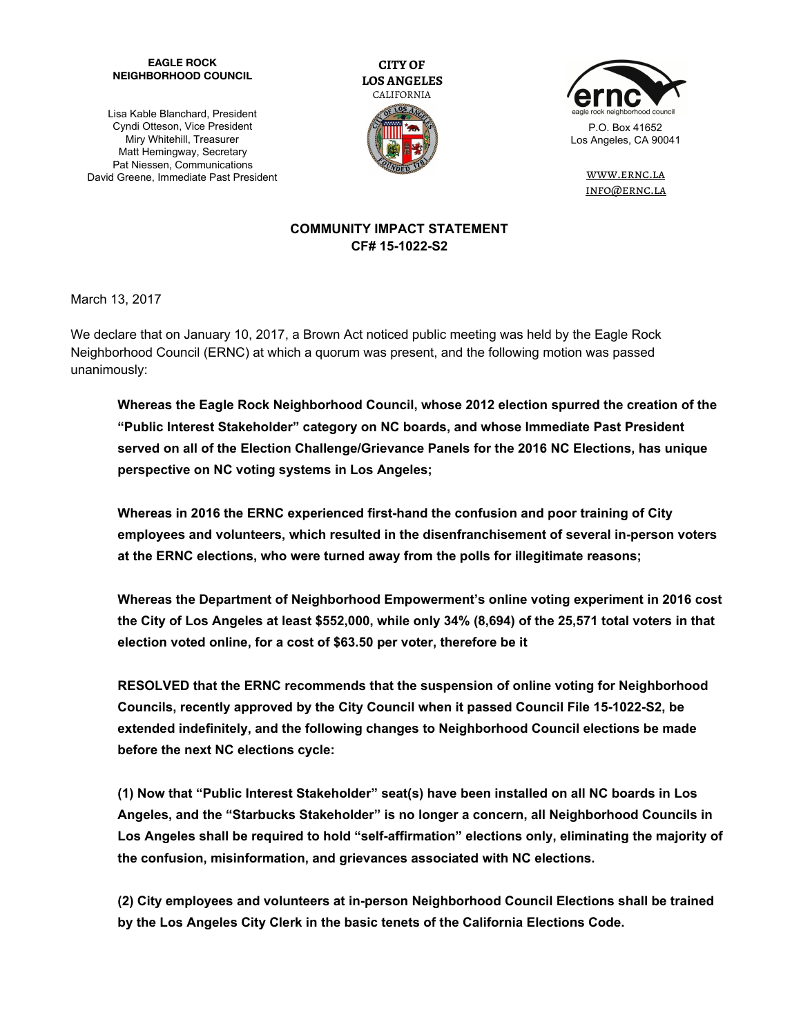## **EAGLE ROCK NEIGHBORHOOD COUNCIL**

Lisa Kable Blanchard, President Cyndi Otteson, Vice President Miry Whitehill, Treasurer Matt Hemingway, Secretary Pat Niessen, Communications David Greene, Immediate Past President





[www.ernc.la](http://www.ernc.la/) info@ernc.la

## **COMMUNITY IMPACT STATEMENT CF# 15-1022-S2**

March 13, 2017

We declare that on January 10, 2017, a Brown Act noticed public meeting was held by the Eagle Rock Neighborhood Council (ERNC) at which a quorum was present, and the following motion was passed unanimously:

**Whereas the Eagle Rock Neighborhood Council, whose 2012 election spurred the creation of the "Public Interest Stakeholder" category on NC boards, and whose Immediate Past President served on all of the Election Challenge/Grievance Panels for the 2016 NC Elections, has unique perspective on NC voting systems in Los Angeles;**

**Whereas in 2016 the ERNC experienced first-hand the confusion and poor training of City employees and volunteers, which resulted in the disenfranchisement of several in-person voters at the ERNC elections, who were turned away from the polls for illegitimate reasons;**

**Whereas the Department of Neighborhood Empowerment's online voting experiment in 2016 cost the City of Los Angeles at least \$552,000, while only 34% (8,694) of the 25,571 total voters in that election voted online, for a cost of \$63.50 per voter, therefore be it**

**RESOLVED that the ERNC recommends that the suspension of online voting for Neighborhood Councils, recently approved by the City Council when it passed Council File 15-1022-S2, be extended indefinitely, and the following changes to Neighborhood Council elections be made before the next NC elections cycle:**

**(1) Now that "Public Interest Stakeholder" seat(s) have been installed on all NC boards in Los Angeles, and the "Starbucks Stakeholder" is no longer a concern, all Neighborhood Councils in Los Angeles shall be required to hold "self-affirmation" elections only, eliminating the majority of the confusion, misinformation, and grievances associated with NC elections.**

**(2) City employees and volunteers at in-person Neighborhood Council Elections shall be trained by the Los Angeles City Clerk in the basic tenets of the California Elections Code.**